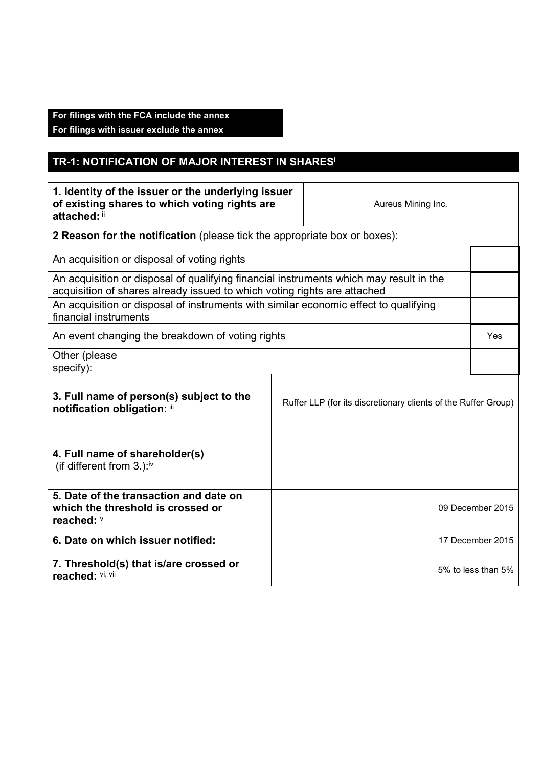## **For filings with the FCA include the annex**

**For filings with issuer exclude the annex** 

## **TR-1: NOTIFICATION OF MAJOR INTEREST IN SHARES<sup>i</sup>**

| 1. Identity of the issuer or the underlying issuer<br>of existing shares to which voting rights are<br>attached: ii                                                |                  | Aureus Mining Inc. |  |
|--------------------------------------------------------------------------------------------------------------------------------------------------------------------|------------------|--------------------|--|
| 2 Reason for the notification (please tick the appropriate box or boxes):                                                                                          |                  |                    |  |
| An acquisition or disposal of voting rights                                                                                                                        |                  |                    |  |
| An acquisition or disposal of qualifying financial instruments which may result in the<br>acquisition of shares already issued to which voting rights are attached |                  |                    |  |
| An acquisition or disposal of instruments with similar economic effect to qualifying<br>financial instruments                                                      |                  |                    |  |
| An event changing the breakdown of voting rights                                                                                                                   |                  |                    |  |
| Other (please<br>specify):                                                                                                                                         |                  |                    |  |
| 3. Full name of person(s) subject to the<br>Ruffer LLP (for its discretionary clients of the Ruffer Group)<br>notification obligation: iii                         |                  |                    |  |
| 4. Full name of shareholder(s)<br>(if different from $3.$ ): <sup>iv</sup>                                                                                         |                  |                    |  |
| 5. Date of the transaction and date on<br>which the threshold is crossed or<br>reached: V                                                                          | 09 December 2015 |                    |  |
| 6. Date on which issuer notified:                                                                                                                                  | 17 December 2015 |                    |  |
| 7. Threshold(s) that is/are crossed or<br>reached: Vi, Vii                                                                                                         |                  | 5% to less than 5% |  |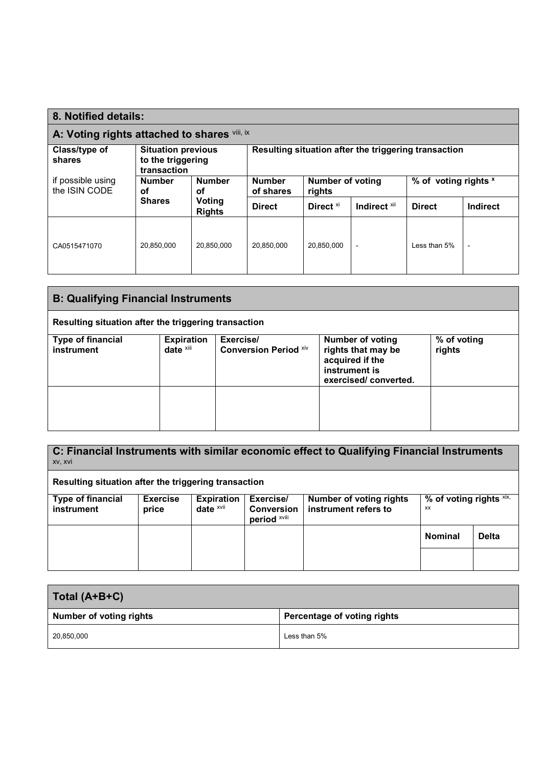| 8. Notified details:                                                       |                                                               |                     |                                                      |                            |                          |                      |  |
|----------------------------------------------------------------------------|---------------------------------------------------------------|---------------------|------------------------------------------------------|----------------------------|--------------------------|----------------------|--|
| A: Voting rights attached to shares Vill, ix                               |                                                               |                     |                                                      |                            |                          |                      |  |
| Class/type of<br>shares                                                    | <b>Situation previous</b><br>to the triggering<br>transaction |                     | Resulting situation after the triggering transaction |                            |                          |                      |  |
| if possible using<br><b>Number</b><br>the ISIN CODE<br>οf<br><b>Shares</b> |                                                               | <b>Number</b><br>οf | <b>Number</b><br>of shares                           | Number of voting<br>rights |                          | % of voting rights x |  |
|                                                                            | Voting<br><b>Rights</b>                                       | <b>Direct</b>       | Direct <sup>xi</sup>                                 | Indirect <sup>xii</sup>    | <b>Direct</b>            | <b>Indirect</b>      |  |
| CA0515471070                                                               | 20,850,000                                                    | 20,850,000          | 20.850.000                                           | 20.850.000                 | $\overline{\phantom{0}}$ | Less than 5%         |  |

| <b>B: Qualifying Financial Instruments</b>           |                                   |                                           |                                                                                                           |                       |  |
|------------------------------------------------------|-----------------------------------|-------------------------------------------|-----------------------------------------------------------------------------------------------------------|-----------------------|--|
| Resulting situation after the triggering transaction |                                   |                                           |                                                                                                           |                       |  |
| <b>Type of financial</b><br>instrument               | <b>Expiration</b><br>date $x$ iii | Exercise/<br><b>Conversion Period Xiv</b> | <b>Number of voting</b><br>rights that may be<br>acquired if the<br>instrument is<br>exercised/converted. | % of voting<br>rights |  |
|                                                      |                                   |                                           |                                                                                                           |                       |  |

**C: Financial Instruments with similar economic effect to Qualifying Financial Instruments** xv, xvi **Resulting situation after the triggering transaction** 

| <b>Type of financial</b><br><b>instrument</b> | <b>Exercise</b><br>price | <b>Expiration</b><br>date $x$ <sup>vii</sup> | Exercise/<br><b>Conversion</b><br>period XVIII | Number of voting rights<br>instrument refers to | % of voting rights $x$ ix,<br>XX |              |
|-----------------------------------------------|--------------------------|----------------------------------------------|------------------------------------------------|-------------------------------------------------|----------------------------------|--------------|
|                                               |                          |                                              |                                                |                                                 | <b>Nominal</b>                   | <b>Delta</b> |
|                                               |                          |                                              |                                                |                                                 |                                  |              |

| Total (A+B+C)                  |                             |
|--------------------------------|-----------------------------|
| <b>Number of voting rights</b> | Percentage of voting rights |
| 20,850,000                     | Less than 5%                |